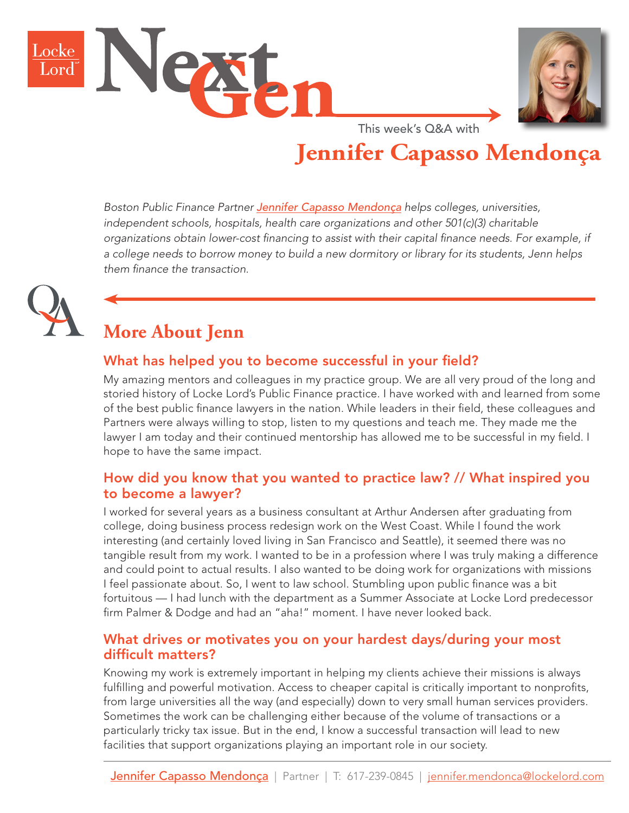



This week's Q&A with

# **Jennifer Capasso Mendonça**

*Boston Public Finance Partner [Jennifer Capasso Mendonça](https://www.lockelord.com/professionals/m/mendonca-jennifer-capasso?lang=en) helps colleges, universities, independent schools, hospitals, health care organizations and other 501(c)(3) charitable organizations obtain lower-cost financing to assist with their capital finance needs. For example, if a college needs to borrow money to build a new dormitory or library for its students, Jenn helps them finance the transaction.*



# **More About Jenn**

## What has helped you to become successful in your field?

My amazing mentors and colleagues in my practice group. We are all very proud of the long and storied history of Locke Lord's Public Finance practice. I have worked with and learned from some of the best public finance lawyers in the nation. While leaders in their field, these colleagues and Partners were always willing to stop, listen to my questions and teach me. They made me the lawyer I am today and their continued mentorship has allowed me to be successful in my field. I hope to have the same impact.

#### How did you know that you wanted to practice law? // What inspired you to become a lawyer?

I worked for several years as a business consultant at Arthur Andersen after graduating from college, doing business process redesign work on the West Coast. While I found the work interesting (and certainly loved living in San Francisco and Seattle), it seemed there was no tangible result from my work. I wanted to be in a profession where I was truly making a difference and could point to actual results. I also wanted to be doing work for organizations with missions I feel passionate about. So, I went to law school. Stumbling upon public finance was a bit fortuitous — I had lunch with the department as a Summer Associate at Locke Lord predecessor firm Palmer & Dodge and had an "aha!" moment. I have never looked back.

#### What drives or motivates you on your hardest days/during your most difficult matters?

Knowing my work is extremely important in helping my clients achieve their missions is always fulfilling and powerful motivation. Access to cheaper capital is critically important to nonprofits, from large universities all the way (and especially) down to very small human services providers. Sometimes the work can be challenging either because of the volume of transactions or a particularly tricky tax issue. But in the end, I know a successful transaction will lead to new facilities that support organizations playing an important role in our society.